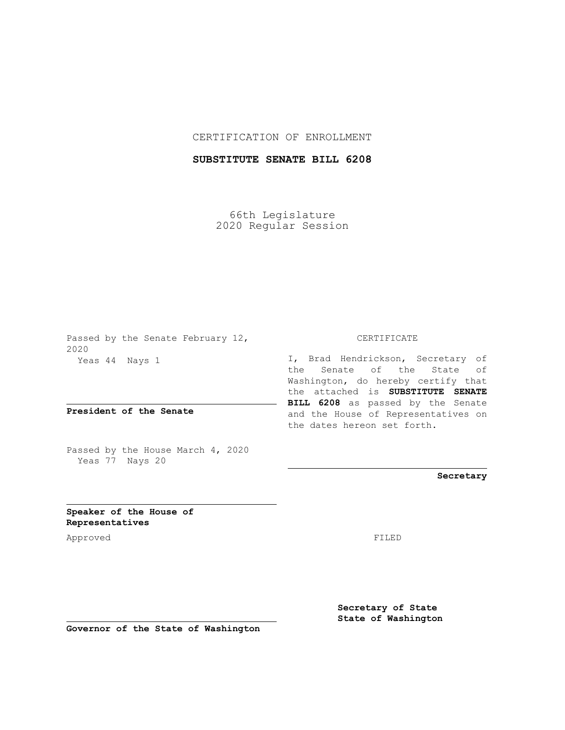## CERTIFICATION OF ENROLLMENT

## **SUBSTITUTE SENATE BILL 6208**

66th Legislature 2020 Regular Session

Passed by the Senate February 12, 2020 Yeas 44 Nays 1

**President of the Senate**

Passed by the House March 4, 2020 Yeas 77 Nays 20

## CERTIFICATE

I, Brad Hendrickson, Secretary of the Senate of the State of Washington, do hereby certify that the attached is **SUBSTITUTE SENATE BILL 6208** as passed by the Senate and the House of Representatives on the dates hereon set forth.

**Secretary**

**Speaker of the House of Representatives**

Approved FILED

**Secretary of State State of Washington**

**Governor of the State of Washington**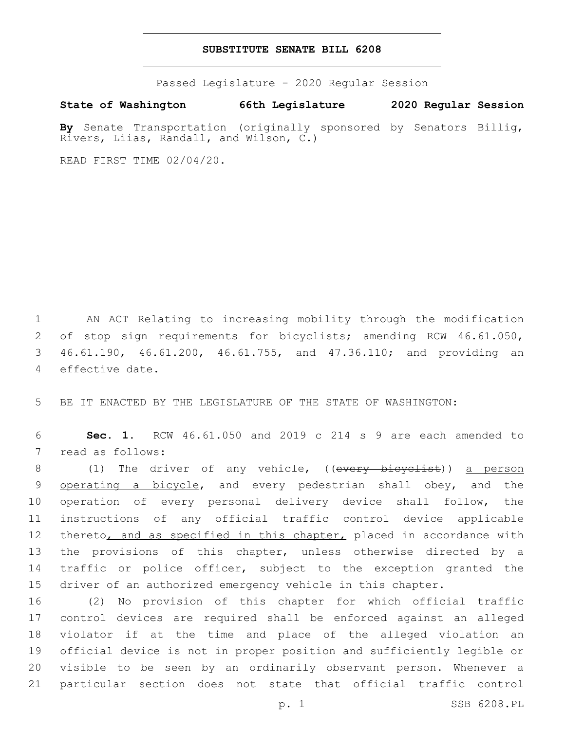## **SUBSTITUTE SENATE BILL 6208**

Passed Legislature - 2020 Regular Session

**State of Washington 66th Legislature 2020 Regular Session**

**By** Senate Transportation (originally sponsored by Senators Billig, Rivers, Liias, Randall, and Wilson, C.)

READ FIRST TIME 02/04/20.

 AN ACT Relating to increasing mobility through the modification of stop sign requirements for bicyclists; amending RCW 46.61.050, 46.61.190, 46.61.200, 46.61.755, and 47.36.110; and providing an 4 effective date.

5 BE IT ENACTED BY THE LEGISLATURE OF THE STATE OF WASHINGTON:

6 **Sec. 1.** RCW 46.61.050 and 2019 c 214 s 9 are each amended to 7 read as follows:

8 (1) The driver of any vehicle, ((every bicyclist)) a person 9 operating a bicycle, and every pedestrian shall obey, and the 10 operation of every personal delivery device shall follow, the 11 instructions of any official traffic control device applicable 12 thereto, and as specified in this chapter, placed in accordance with 13 the provisions of this chapter, unless otherwise directed by a 14 traffic or police officer, subject to the exception granted the 15 driver of an authorized emergency vehicle in this chapter.

 (2) No provision of this chapter for which official traffic control devices are required shall be enforced against an alleged violator if at the time and place of the alleged violation an official device is not in proper position and sufficiently legible or visible to be seen by an ordinarily observant person. Whenever a particular section does not state that official traffic control

p. 1 SSB 6208.PL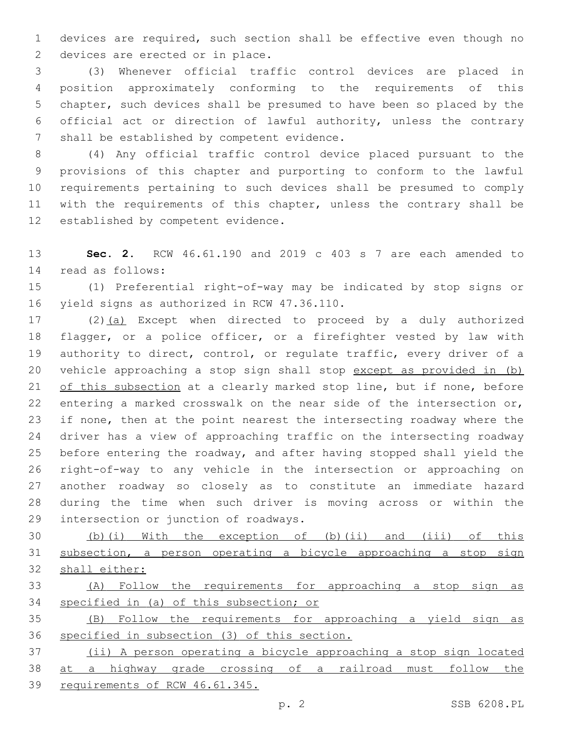devices are required, such section shall be effective even though no 2 devices are erected or in place.

 (3) Whenever official traffic control devices are placed in position approximately conforming to the requirements of this chapter, such devices shall be presumed to have been so placed by the official act or direction of lawful authority, unless the contrary 7 shall be established by competent evidence.

 (4) Any official traffic control device placed pursuant to the provisions of this chapter and purporting to conform to the lawful requirements pertaining to such devices shall be presumed to comply with the requirements of this chapter, unless the contrary shall be 12 established by competent evidence.

 **Sec. 2.** RCW 46.61.190 and 2019 c 403 s 7 are each amended to read as follows:14

 (1) Preferential right-of-way may be indicated by stop signs or 16 yield signs as authorized in RCW 47.36.110.

 (2)(a) Except when directed to proceed by a duly authorized flagger, or a police officer, or a firefighter vested by law with authority to direct, control, or regulate traffic, every driver of a vehicle approaching a stop sign shall stop except as provided in (b) of this subsection at a clearly marked stop line, but if none, before entering a marked crosswalk on the near side of the intersection or, if none, then at the point nearest the intersecting roadway where the driver has a view of approaching traffic on the intersecting roadway before entering the roadway, and after having stopped shall yield the right-of-way to any vehicle in the intersection or approaching on another roadway so closely as to constitute an immediate hazard during the time when such driver is moving across or within the 29 intersection or junction of roadways.

 (b)(i) With the exception of (b)(ii) and (iii) of this subsection, a person operating a bicycle approaching a stop sign shall either:

 (A) Follow the requirements for approaching a stop sign as specified in (a) of this subsection; or

 (B) Follow the requirements for approaching a yield sign as specified in subsection (3) of this section.

 (ii) A person operating a bicycle approaching a stop sign located at a highway grade crossing of a railroad must follow the requirements of RCW 46.61.345.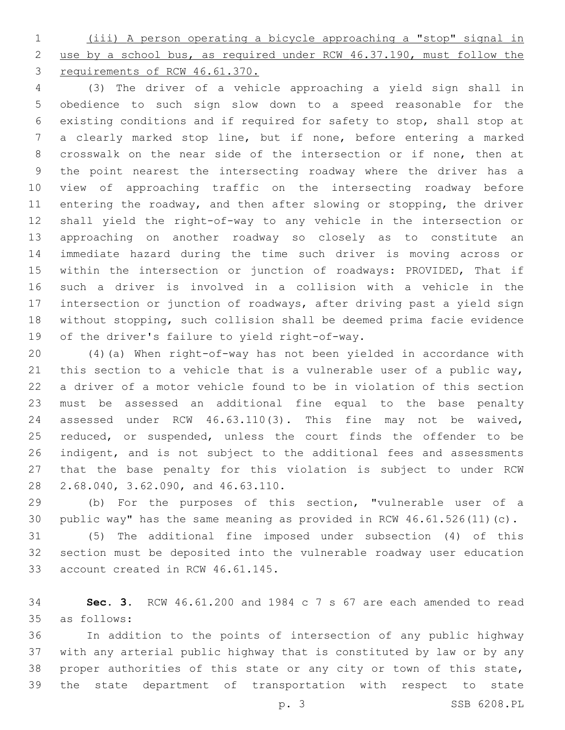(iii) A person operating a bicycle approaching a "stop" signal in use by a school bus, as required under RCW 46.37.190, must follow the requirements of RCW 46.61.370.

 (3) The driver of a vehicle approaching a yield sign shall in obedience to such sign slow down to a speed reasonable for the existing conditions and if required for safety to stop, shall stop at a clearly marked stop line, but if none, before entering a marked crosswalk on the near side of the intersection or if none, then at the point nearest the intersecting roadway where the driver has a view of approaching traffic on the intersecting roadway before entering the roadway, and then after slowing or stopping, the driver shall yield the right-of-way to any vehicle in the intersection or approaching on another roadway so closely as to constitute an immediate hazard during the time such driver is moving across or within the intersection or junction of roadways: PROVIDED, That if such a driver is involved in a collision with a vehicle in the intersection or junction of roadways, after driving past a yield sign without stopping, such collision shall be deemed prima facie evidence 19 of the driver's failure to yield right-of-way.

 (4)(a) When right-of-way has not been yielded in accordance with this section to a vehicle that is a vulnerable user of a public way, a driver of a motor vehicle found to be in violation of this section must be assessed an additional fine equal to the base penalty assessed under RCW 46.63.110(3). This fine may not be waived, 25 reduced, or suspended, unless the court finds the offender to be indigent, and is not subject to the additional fees and assessments that the base penalty for this violation is subject to under RCW 28 2.68.040, 3.62.090, and 46.63.110.

 (b) For the purposes of this section, "vulnerable user of a public way" has the same meaning as provided in RCW 46.61.526(11)(c).

 (5) The additional fine imposed under subsection (4) of this section must be deposited into the vulnerable roadway user education 33 account created in RCW 46.61.145.

 **Sec. 3.** RCW 46.61.200 and 1984 c 7 s 67 are each amended to read as follows:35

 In addition to the points of intersection of any public highway with any arterial public highway that is constituted by law or by any proper authorities of this state or any city or town of this state, the state department of transportation with respect to state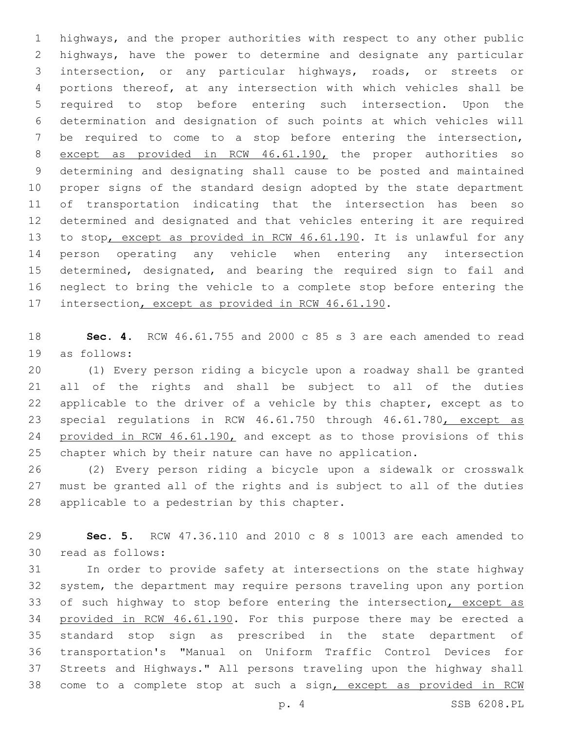highways, and the proper authorities with respect to any other public highways, have the power to determine and designate any particular intersection, or any particular highways, roads, or streets or portions thereof, at any intersection with which vehicles shall be required to stop before entering such intersection. Upon the determination and designation of such points at which vehicles will be required to come to a stop before entering the intersection, except as provided in RCW 46.61.190, the proper authorities so determining and designating shall cause to be posted and maintained proper signs of the standard design adopted by the state department of transportation indicating that the intersection has been so determined and designated and that vehicles entering it are required to stop, except as provided in RCW 46.61.190. It is unlawful for any person operating any vehicle when entering any intersection determined, designated, and bearing the required sign to fail and neglect to bring the vehicle to a complete stop before entering the 17 intersection, except as provided in RCW 46.61.190.

 **Sec. 4.** RCW 46.61.755 and 2000 c 85 s 3 are each amended to read 19 as follows:

 (1) Every person riding a bicycle upon a roadway shall be granted all of the rights and shall be subject to all of the duties applicable to the driver of a vehicle by this chapter, except as to 23 special regulations in RCW 46.61.750 through 46.61.780, except as 24 provided in RCW 46.61.190, and except as to those provisions of this chapter which by their nature can have no application.

 (2) Every person riding a bicycle upon a sidewalk or crosswalk must be granted all of the rights and is subject to all of the duties 28 applicable to a pedestrian by this chapter.

 **Sec. 5.** RCW 47.36.110 and 2010 c 8 s 10013 are each amended to 30 read as follows:

 In order to provide safety at intersections on the state highway system, the department may require persons traveling upon any portion 33 of such highway to stop before entering the intersection, except as 34 provided in RCW 46.61.190. For this purpose there may be erected a standard stop sign as prescribed in the state department of transportation's "Manual on Uniform Traffic Control Devices for Streets and Highways." All persons traveling upon the highway shall come to a complete stop at such a sign, except as provided in RCW